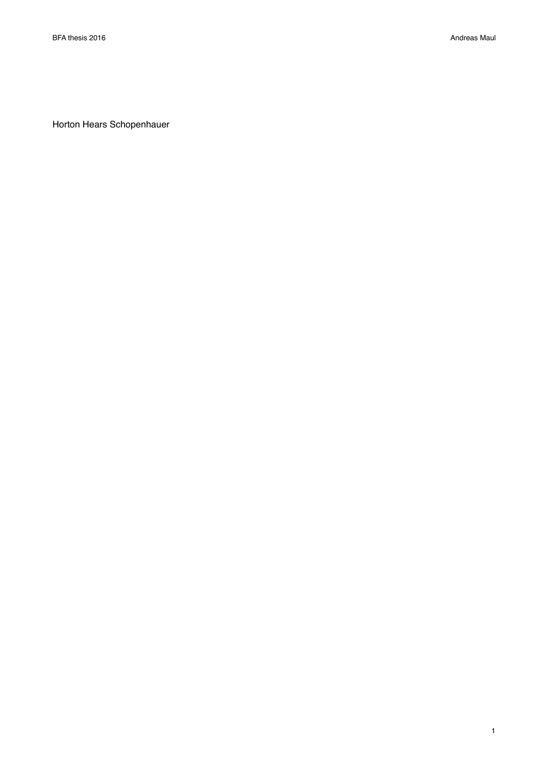Horton Hears Schopenhauer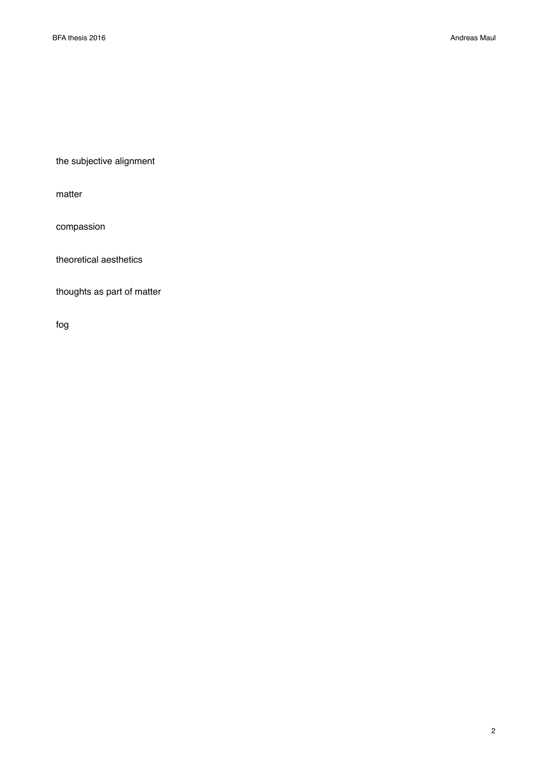the subjective alignment

matter

compassion

theoretical aesthetics

thoughts as part of matter

fog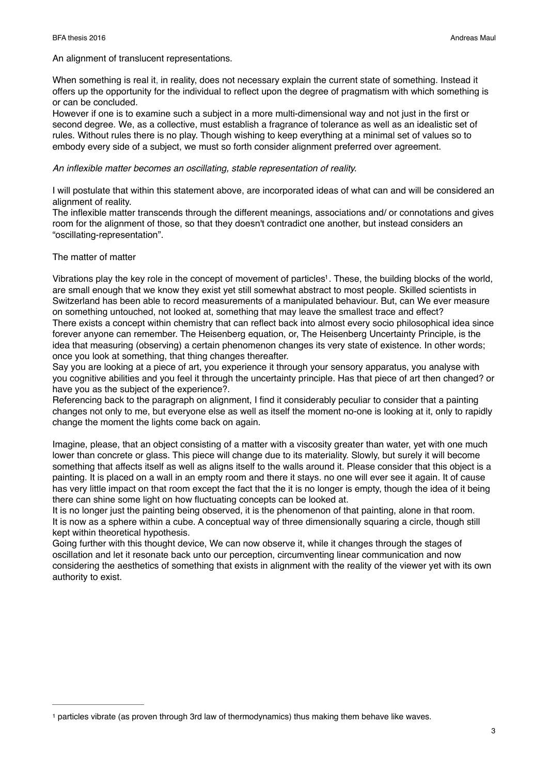#### BFA thesis 2016 Andreas Maul

An alignment of translucent representations.

When something is real it, in reality, does not necessary explain the current state of something. Instead it offers up the opportunity for the individual to reflect upon the degree of pragmatism with which something is or can be concluded.

However if one is to examine such a subject in a more multi-dimensional way and not just in the first or second degree. We, as a collective, must establish a fragrance of tolerance as well as an idealistic set of rules. Without rules there is no play. Though wishing to keep everything at a minimal set of values so to embody every side of a subject, we must so forth consider alignment preferred over agreement.

### *An inflexible matter becomes an oscillating, stable representation of reality.*

I will postulate that within this statement above, are incorporated ideas of what can and will be considered an alignment of reality.

The inflexible matter transcends through the different meanings, associations and/ or connotations and gives room for the alignment of those, so that they doesn't contradict one another, but instead considers an "oscillating-representation".

# The matter of matter

<span id="page-2-1"></span>Vibrations play the key role in the concept of movement of particles<sup>[1](#page-2-0)</sup>. These, the building blocks of the world, are small enough that we know they exist yet still somewhat abstract to most people. Skilled scientists in Switzerland has been able to record measurements of a manipulated behaviour. But, can We ever measure on something untouched, not looked at, something that may leave the smallest trace and effect? There exists a concept within chemistry that can reflect back into almost every socio philosophical idea since forever anyone can remember. The Heisenberg equation, or, The Heisenberg Uncertainty Principle, is the idea that measuring (observing) a certain phenomenon changes its very state of existence. In other words; once you look at something, that thing changes thereafter.

Say you are looking at a piece of art, you experience it through your sensory apparatus, you analyse with you cognitive abilities and you feel it through the uncertainty principle. Has that piece of art then changed? or have you as the subject of the experience?.

Referencing back to the paragraph on alignment, I find it considerably peculiar to consider that a painting changes not only to me, but everyone else as well as itself the moment no-one is looking at it, only to rapidly change the moment the lights come back on again.

Imagine, please, that an object consisting of a matter with a viscosity greater than water, yet with one much lower than concrete or glass. This piece will change due to its materiality. Slowly, but surely it will become something that affects itself as well as aligns itself to the walls around it. Please consider that this object is a painting. It is placed on a wall in an empty room and there it stays. no one will ever see it again. It of cause has very little impact on that room except the fact that the it is no longer is empty, though the idea of it being there can shine some light on how fluctuating concepts can be looked at.

It is no longer just the painting being observed, it is the phenomenon of that painting, alone in that room. It is now as a sphere within a cube. A conceptual way of three dimensionally squaring a circle, though still kept within theoretical hypothesis.

Going further with this thought device, We can now observe it, while it changes through the stages of oscillation and let it resonate back unto our perception, circumventing linear communication and now considering the aesthetics of something that exists in alignment with the reality of the viewer yet with its own authority to exist.

<span id="page-2-0"></span><sup>&</sup>lt;sup>[1](#page-2-1)</sup> particles vibrate (as proven through 3rd law of thermodynamics) thus making them behave like waves.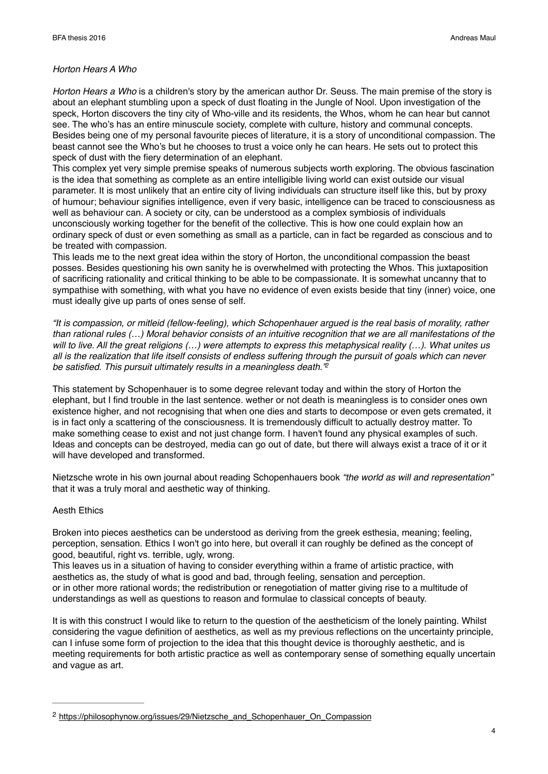### *Horton Hears A Who*

*Horton Hears a Who* is a children's story by the american author Dr. Seuss. The main premise of the story is about an elephant stumbling upon a speck of dust floating in the Jungle of Nool. Upon investigation of the speck, Horton discovers the tiny city of Who-ville and its residents, the Whos, whom he can hear but cannot see. The who's has an entire minuscule society, complete with culture, history and communal concepts. Besides being one of my personal favourite pieces of literature, it is a story of unconditional compassion. The beast cannot see the Who's but he chooses to trust a voice only he can hears. He sets out to protect this speck of dust with the fiery determination of an elephant.

This complex yet very simple premise speaks of numerous subjects worth exploring. The obvious fascination is the idea that something as complete as an entire intelligible living world can exist outside our visual parameter. It is most unlikely that an entire city of living individuals can structure itself like this, but by proxy of humour; behaviour signifies intelligence, even if very basic, intelligence can be traced to consciousness as well as behaviour can. A society or city, can be understood as a complex symbiosis of individuals unconsciously working together for the benefit of the collective. This is how one could explain how an ordinary speck of dust or even something as small as a particle, can in fact be regarded as conscious and to be treated with compassion.

This leads me to the next great idea within the story of Horton, the unconditional compassion the beast posses. Besides questioning his own sanity he is overwhelmed with protecting the Whos. This juxtaposition of sacrificing rationality and critical thinking to be able to be compassionate. It is somewhat uncanny that to sympathise with something, with what you have no evidence of even exists beside that tiny (inner) voice, one must ideally give up parts of ones sense of self.

*"It is compassion, or mitleid (fellow-feeling), which Schopenhauer argued is the real basis of morality, rather than rational rules (…) Moral behavior consists of an intuitive recognition that we are all manifestations of the will to live. All the great religions (…) were attempts to express this metaphysical reality (…). What unites us all is the realization that life itself consists of endless suffering through the pursuit of goals which can never be satisfied. This pursuit ultimately results in a meaningless death.["2](#page-3-0)*

<span id="page-3-1"></span>This statement by Schopenhauer is to some degree relevant today and within the story of Horton the elephant, but I find trouble in the last sentence. wether or not death is meaningless is to consider ones own existence higher, and not recognising that when one dies and starts to decompose or even gets cremated, it is in fact only a scattering of the consciousness. It is tremendously difficult to actually destroy matter. To make something cease to exist and not just change form. I haven't found any physical examples of such. Ideas and concepts can be destroyed, media can go out of date, but there will always exist a trace of it or it will have developed and transformed.

Nietzsche wrote in his own journal about reading Schopenhauers book *"the world as will and representation"*  that it was a truly moral and aesthetic way of thinking.

### Aesth Ethics

Broken into pieces aesthetics can be understood as deriving from the greek esthesia, meaning; feeling, perception, sensation. Ethics I won't go into here, but overall it can roughly be defined as the concept of good, beautiful, right vs. terrible, ugly, wrong.

This leaves us in a situation of having to consider everything within a frame of artistic practice, with aesthetics as, the study of what is good and bad, through feeling, sensation and perception. or in other more rational words; the redistribution or renegotiation of matter giving rise to a multitude of understandings as well as questions to reason and formulae to classical concepts of beauty.

It is with this construct I would like to return to the question of the aestheticism of the lonely painting. Whilst considering the vague definition of aesthetics, as well as my previous reflections on the uncertainty principle, can I infuse some form of projection to the idea that this thought device is thoroughly aesthetic, and is meeting requirements for both artistic practice as well as contemporary sense of something equally uncertain and vague as art.

<span id="page-3-0"></span><sup>&</sup>lt;sup>2</sup> [https://philosophynow.org/issues/29/Nietzsche\\_and\\_Schopenhauer\\_On\\_Compassion](https://philosophynow.org/issues/29/Nietzsche_and_Schopenhauer_On_Compassion)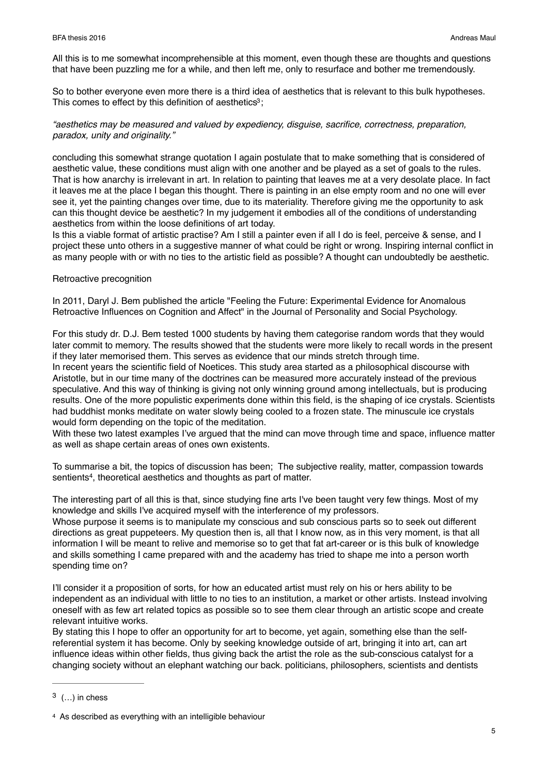All this is to me somewhat incomprehensible at this moment, even though these are thoughts and questions that have been puzzling me for a while, and then left me, only to resurface and bother me tremendously.

So to bother everyone even more there is a third idea of aesthetics that is relevant to this bulk hypotheses. This comes to effect by this definition of aesthetics<sup>[3](#page-4-0)</sup>:

# <span id="page-4-2"></span>*"aesthetics may be measured and valued by expediency, disguise, sacrifice, correctness, preparation, paradox, unity and originality."*

concluding this somewhat strange quotation I again postulate that to make something that is considered of aesthetic value, these conditions must align with one another and be played as a set of goals to the rules. That is how anarchy is irrelevant in art. In relation to painting that leaves me at a very desolate place. In fact it leaves me at the place I began this thought. There is painting in an else empty room and no one will ever see it, yet the painting changes over time, due to its materiality. Therefore giving me the opportunity to ask can this thought device be aesthetic? In my judgement it embodies all of the conditions of understanding aesthetics from within the loose definitions of art today.

Is this a viable format of artistic practise? Am I still a painter even if all I do is feel, perceive & sense, and I project these unto others in a suggestive manner of what could be right or wrong. Inspiring internal conflict in as many people with or with no ties to the artistic field as possible? A thought can undoubtedly be aesthetic.

### Retroactive precognition

In 2011, Daryl J. Bem published the article "Feeling the Future: Experimental Evidence for Anomalous Retroactive Influences on Cognition and Affect" in the Journal of Personality and Social Psychology.

For this study dr. D.J. Bem tested 1000 students by having them categorise random words that they would later commit to memory. The results showed that the students were more likely to recall words in the present if they later memorised them. This serves as evidence that our minds stretch through time.

In recent years the scientific field of Noetices. This study area started as a philosophical discourse with Aristotle, but in our time many of the doctrines can be measured more accurately instead of the previous speculative. And this way of thinking is giving not only winning ground among intellectuals, but is producing results. One of the more populistic experiments done within this field, is the shaping of ice crystals. Scientists had buddhist monks meditate on water slowly being cooled to a frozen state. The minuscule ice crystals would form depending on the topic of the meditation.

With these two latest examples I've argued that the mind can move through time and space, influence matter as well as shape certain areas of ones own existents.

<span id="page-4-3"></span>To summarise a bit, the topics of discussion has been; The subjective reality, matter, compassion towards sentients<sup>[4](#page-4-1)</sup>, theoretical aesthetics and thoughts as part of matter.

The interesting part of all this is that, since studying fine arts I've been taught very few things. Most of my knowledge and skills I've acquired myself with the interference of my professors.

Whose purpose it seems is to manipulate my conscious and sub conscious parts so to seek out different directions as great puppeteers. My question then is, all that I know now, as in this very moment, is that all information I will be meant to relive and memorise so to get that fat art-career or is this bulk of knowledge and skills something I came prepared with and the academy has tried to shape me into a person worth spending time on?

I'll consider it a proposition of sorts, for how an educated artist must rely on his or hers ability to be independent as an individual with little to no ties to an institution, a market or other artists. Instead involving oneself with as few art related topics as possible so to see them clear through an artistic scope and create relevant intuitive works.

By stating this I hope to offer an opportunity for art to become, yet again, something else than the selfreferential system it has become. Only by seeking knowledge outside of art, bringing it into art, can art influence ideas within other fields, thus giving back the artist the role as the sub-conscious catalyst for a changing society without an elephant watching our back. politicians, philosophers, scientists and dentists

<span id="page-4-0"></span> $(1, 3)$  $(1, 3)$  $(1, 3)$  in chess

<span id="page-4-1"></span><sup>&</sup>lt;sup>[4](#page-4-3)</sup> As described as everything with an intelligible behaviour